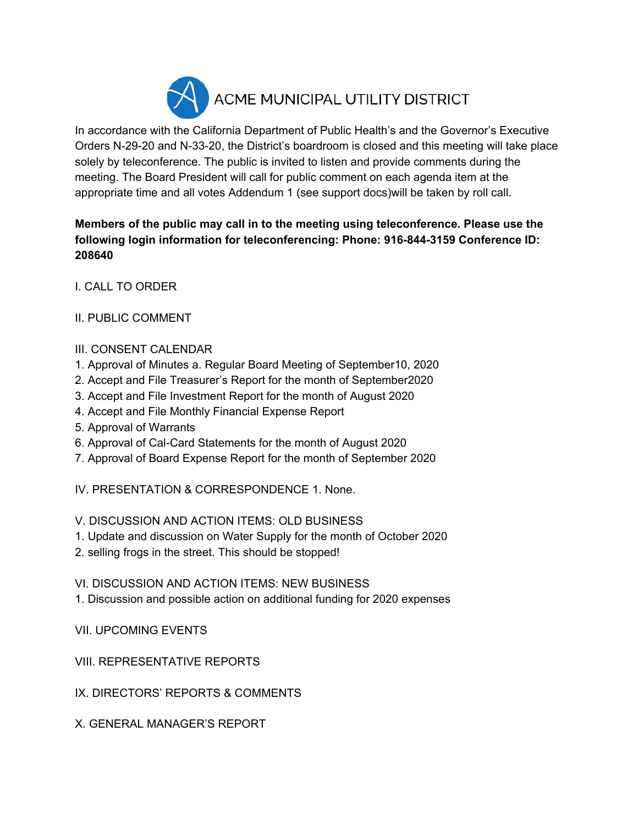

In accordance with the California Department of Public Health's and the Governor's Executive Orders N-29-20 and N-33-20, the District's boardroom is closed and this meeting will take place solely by teleconference. The public is invited to listen and provide comments during the meeting. The Board President will call for public comment on each agenda item at the appropriate time and all votes Addendum 1 (see support docs)will be taken by roll call.

## **Members of the public may call in to the meeting using teleconference. Please use the following login information for teleconferencing: Phone: 916-844-3159 Conference ID: 208640**

I. CALL TO ORDER

II. PUBLIC COMMENT

## III. CONSENT CALENDAR

- 1. Approval of Minutes a. Regular Board Meeting of September10, 2020
- 2. Accept and File Treasurer's Report for the month of September2020
- 3. Accept and File Investment Report for the month of August 2020
- 4. Accept and File Monthly Financial Expense Report
- 5. Approval of Warrants
- 6. Approval of Cal-Card Statements for the month of August 2020
- 7. Approval of Board Expense Report for the month of September 2020

IV. PRESENTATION & CORRESPONDENCE 1. None.

V. DISCUSSION AND ACTION ITEMS: OLD BUSINESS

- 1. Update and discussion on Water Supply for the month of October 2020
- 2. selling frogs in the street. This should be stopped!

VI. DISCUSSION AND ACTION ITEMS: NEW BUSINESS

1. Discussion and possible action on additional funding for 2020 expenses

VII. UPCOMING EVENTS

VIII. REPRESENTATIVE REPORTS

IX. DIRECTORS' REPORTS & COMMENTS

X. GENERAL MANAGER'S REPORT